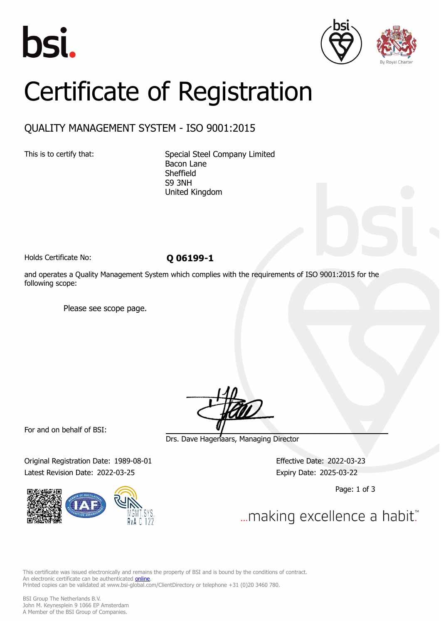





# Certificate of Registration

## QUALITY MANAGEMENT SYSTEM - ISO 9001:2015

This is to certify that: Special Steel Company Limited Bacon Lane Sheffield S9 3NH United Kingdom

Holds Certificate No: **Q 06199-1** 

and operates a Quality Management System which complies with the requirements of ISO 9001:2015 for the following scope:

Please see scope page.

For and on behalf of BSI:

Original Registration Date: 1989-08-01 Effective Date: 2022-03-23 Latest Revision Date: 2022-03-25 Expiry Date: 2025-03-22



Drs. Dave Hagenaars, Managing Director

Page: 1 of 3

... making excellence a habit."

This certificate was issued electronically and remains the property of BSI and is bound by the conditions of contract. An electronic certificate can be authenticated **[online](https://pgplus.bsigroup.com/CertificateValidation/CertificateValidator.aspx?CertificateNumber=Q+06199-1&ReIssueDate=25%2f03%2f2022&Template=cemea_en)**. Printed copies can be validated at www.bsi-global.com/ClientDirectory or telephone +31 (0)20 3460 780.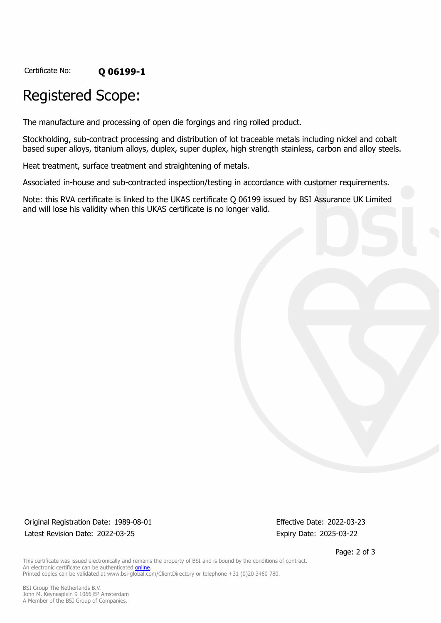Certificate No: **Q 06199-1**

# Registered Scope:

The manufacture and processing of open die forgings and ring rolled product.

Stockholding, sub-contract processing and distribution of lot traceable metals including nickel and cobalt based super alloys, titanium alloys, duplex, super duplex, high strength stainless, carbon and alloy steels.

Heat treatment, surface treatment and straightening of metals.

Associated in-house and sub-contracted inspection/testing in accordance with customer requirements.

Note: this RVA certificate is linked to the UKAS certificate Q 06199 issued by BSI Assurance UK Limited and will lose his validity when this UKAS certificate is no longer valid.

Original Registration Date: 1989-08-01 Effective Date: 2022-03-23 Latest Revision Date: 2022-03-25 Expiry Date: 2025-03-22

Page: 2 of 3

This certificate was issued electronically and remains the property of BSI and is bound by the conditions of contract. An electronic certificate can be authenticated **[online](https://pgplus.bsigroup.com/CertificateValidation/CertificateValidator.aspx?CertificateNumber=Q+06199-1&ReIssueDate=25%2f03%2f2022&Template=cemea_en)**. Printed copies can be validated at www.bsi-global.com/ClientDirectory or telephone +31 (0)20 3460 780.

BSI Group The Netherlands B.V. John M. Keynesplein 9 1066 EP Amsterdam A Member of the BSI Group of Companies.